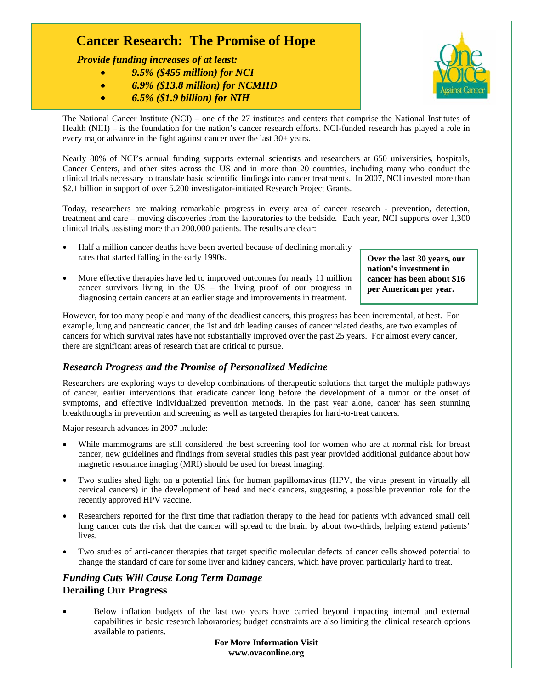# **Cancer Research: The Promise of Hope**

 *Provide funding increases of at least:* 

- *9.5% (\$455 million) for NCI*
- *6.9% (\$13.8 million) for NCMHD*
- *6.5% (\$1.9 billion) for NIH*



The National Cancer Institute (NCI) – one of the 27 institutes and centers that comprise the National Institutes of Health (NIH) – is the foundation for the nation's cancer research efforts. NCI-funded research has played a role in every major advance in the fight against cancer over the last 30+ years.

Nearly 80% of NCI's annual funding supports external scientists and researchers at 650 universities, hospitals, Cancer Centers, and other sites across the US and in more than 20 countries, including many who conduct the clinical trials necessary to translate basic scientific findings into cancer treatments. In 2007, NCI invested more than \$2.1 billion in support of over 5,200 investigator-initiated Research Project Grants.

Today, researchers are making remarkable progress in every area of cancer research - prevention, detection, treatment and care – moving discoveries from the laboratories to the bedside. Each year, NCI supports over 1,300 clinical trials, assisting more than 200,000 patients. The results are clear:

- Half a million cancer deaths have been averted because of declining mortality rates that started falling in the early 1990s.
- More effective therapies have led to improved outcomes for nearly 11 million cancer survivors living in the US – the living proof of our progress in diagnosing certain cancers at an earlier stage and improvements in treatment.

**Over the last 30 years, our nation's investment in cancer has been about \$16 per American per year.** 

However, for too many people and many of the deadliest cancers, this progress has been incremental, at best. For example, lung and pancreatic cancer, the 1st and 4th leading causes of cancer related deaths, are two examples of cancers for which survival rates have not substantially improved over the past 25 years. For almost every cancer, there are significant areas of research that are critical to pursue.

### *Research Progress and the Promise of Personalized Medicine*

Researchers are exploring ways to develop combinations of therapeutic solutions that target the multiple pathways of cancer, earlier interventions that eradicate cancer long before the development of a tumor or the onset of symptoms, and effective individualized prevention methods. In the past year alone, cancer has seen stunning breakthroughs in prevention and screening as well as targeted therapies for hard-to-treat cancers.

Major research advances in 2007 include:

- While mammograms are still considered the best screening tool for women who are at normal risk for breast cancer, new guidelines and findings from several studies this past year provided additional guidance about how magnetic resonance imaging (MRI) should be used for breast imaging.
- Two studies shed light on a potential link for human papillomavirus (HPV, the virus present in virtually all cervical cancers) in the development of head and neck cancers, suggesting a possible prevention role for the recently approved HPV vaccine.
- Researchers reported for the first time that radiation therapy to the head for patients with advanced small cell lung cancer cuts the risk that the cancer will spread to the brain by about two-thirds, helping extend patients' lives.
- Two studies of anti-cancer therapies that target specific molecular defects of cancer cells showed potential to change the standard of care for some liver and kidney cancers, which have proven particularly hard to treat.

## *Funding Cuts Will Cause Long Term Damage* **Derailing Our Progress**

• Below inflation budgets of the last two years have carried beyond impacting internal and external capabilities in basic research laboratories; budget constraints are also limiting the clinical research options available to patients.

> **For More Information Visit www.ovaconline.org**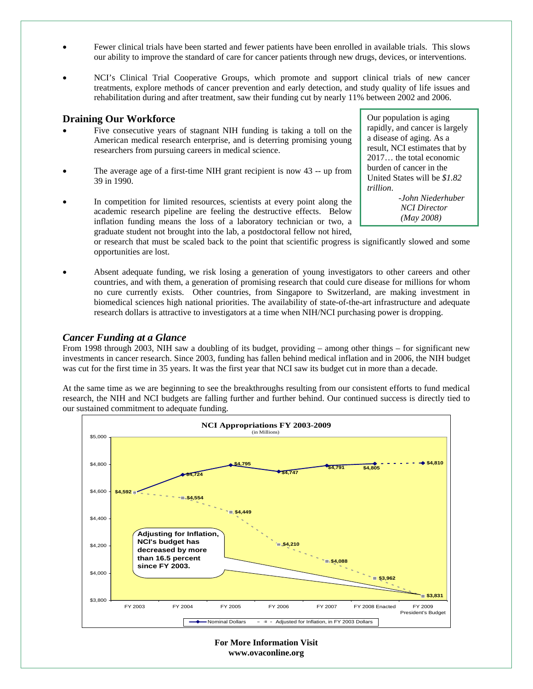- Fewer clinical trials have been started and fewer patients have been enrolled in available trials. This slows our ability to improve the standard of care for cancer patients through new drugs, devices, or interventions.
- NCI's Clinical Trial Cooperative Groups, which promote and support clinical trials of new cancer treatments, explore methods of cancer prevention and early detection, and study quality of life issues and rehabilitation during and after treatment, saw their funding cut by nearly 11% between 2002 and 2006.

#### **Draining Our Workforce**

- Five consecutive years of stagnant NIH funding is taking a toll on the American medical research enterprise, and is deterring promising young researchers from pursuing careers in medical science.
- The average age of a first-time NIH grant recipient is now 43 -- up from 39 in 1990.
- In competition for limited resources, scientists at every point along the academic research pipeline are feeling the destructive effects. Below inflation funding means the loss of a laboratory technician or two, a graduate student not brought into the lab, a postdoctoral fellow not hired,

or research that must be scaled back to the point that scientific progress is significantly slowed and some opportunities are lost.

• Absent adequate funding, we risk losing a generation of young investigators to other careers and other countries, and with them, a generation of promising research that could cure disease for millions for whom no cure currently exists. Other countries, from Singapore to Switzerland, are making investment in biomedical sciences high national priorities. The availability of state-of-the-art infrastructure and adequate research dollars is attractive to investigators at a time when NIH/NCI purchasing power is dropping.

#### *Cancer Funding at a Glance*

From 1998 through 2003, NIH saw a doubling of its budget, providing – among other things – for significant new investments in cancer research. Since 2003, funding has fallen behind medical inflation and in 2006, the NIH budget was cut for the first time in 35 years. It was the first year that NCI saw its budget cut in more than a decade.

At the same time as we are beginning to see the breakthroughs resulting from our consistent efforts to fund medical research, the NIH and NCI budgets are falling further and further behind. Our continued success is directly tied to our sustained commitment to adequate funding.



Our population is aging rapidly, and cancer is largely a disease of aging. As a result, NCI estimates that by 2017… the total economic burden of cancer in the United States will be *\$1.82 trillion*.

> *-John Niederhuber NCI Director (May 2008)*

**For More Information Visit www.ovaconline.org**